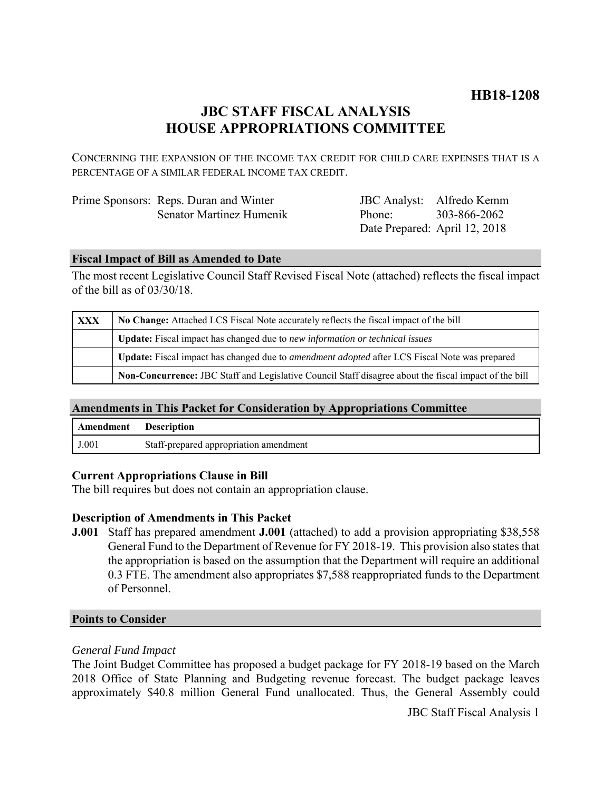## **JBC STAFF FISCAL ANALYSIS HOUSE APPROPRIATIONS COMMITTEE**

CONCERNING THE EXPANSION OF THE INCOME TAX CREDIT FOR CHILD CARE EXPENSES THAT IS A PERCENTAGE OF A SIMILAR FEDERAL INCOME TAX CREDIT.

| Prime Sponsors: Reps. Duran and Winter |
|----------------------------------------|
| Senator Martinez Humenik               |

JBC Analyst: Alfredo Kemm Phone: Date Prepared: April 12, 2018 303-866-2062

#### **Fiscal Impact of Bill as Amended to Date**

The most recent Legislative Council Staff Revised Fiscal Note (attached) reflects the fiscal impact of the bill as of 03/30/18.

| <b>XXX</b> | No Change: Attached LCS Fiscal Note accurately reflects the fiscal impact of the bill                       |  |
|------------|-------------------------------------------------------------------------------------------------------------|--|
|            | <b>Update:</b> Fiscal impact has changed due to new information or technical issues                         |  |
|            | <b>Update:</b> Fiscal impact has changed due to <i>amendment adopted</i> after LCS Fiscal Note was prepared |  |
|            | Non-Concurrence: JBC Staff and Legislative Council Staff disagree about the fiscal impact of the bill       |  |

#### **Amendments in This Packet for Consideration by Appropriations Committee**

| Amendment | <b>Description</b>                     |
|-----------|----------------------------------------|
| J.001     | Staff-prepared appropriation amendment |

#### **Current Appropriations Clause in Bill**

The bill requires but does not contain an appropriation clause.

#### **Description of Amendments in This Packet**

**J.001** Staff has prepared amendment **J.001** (attached) to add a provision appropriating \$38,558 General Fund to the Department of Revenue for FY 2018-19. This provision also states that the appropriation is based on the assumption that the Department will require an additional 0.3 FTE. The amendment also appropriates \$7,588 reappropriated funds to the Department of Personnel.

#### **Points to Consider**

### *General Fund Impact*

The Joint Budget Committee has proposed a budget package for FY 2018-19 based on the March 2018 Office of State Planning and Budgeting revenue forecast. The budget package leaves approximately \$40.8 million General Fund unallocated. Thus, the General Assembly could